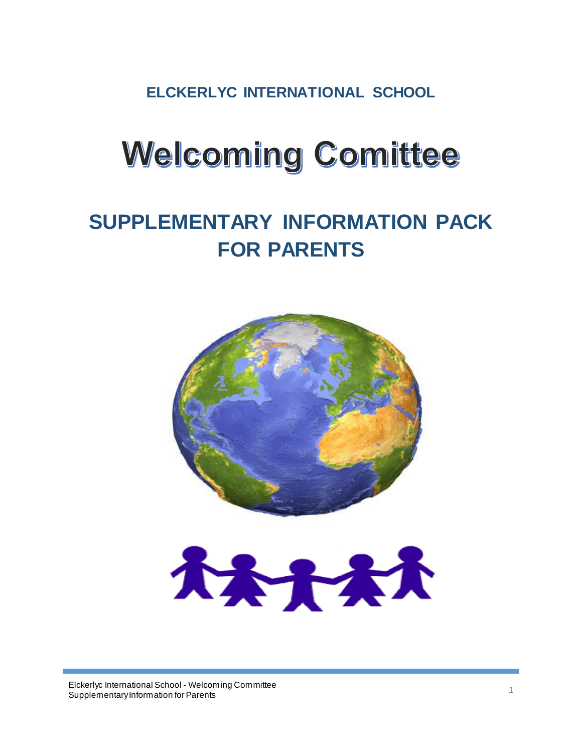**ELCKERLYC INTERNATIONAL SCHOOL**

# **Welcoming Comittee**

# **SUPPLEMENTARY INFORMATION PACK FOR PARENTS**



大大大大

Elckerlyc International School - Welcoming Committee Eickerijc international Scribor - welcoming Committee<br>Supplementary Information for Parents 1996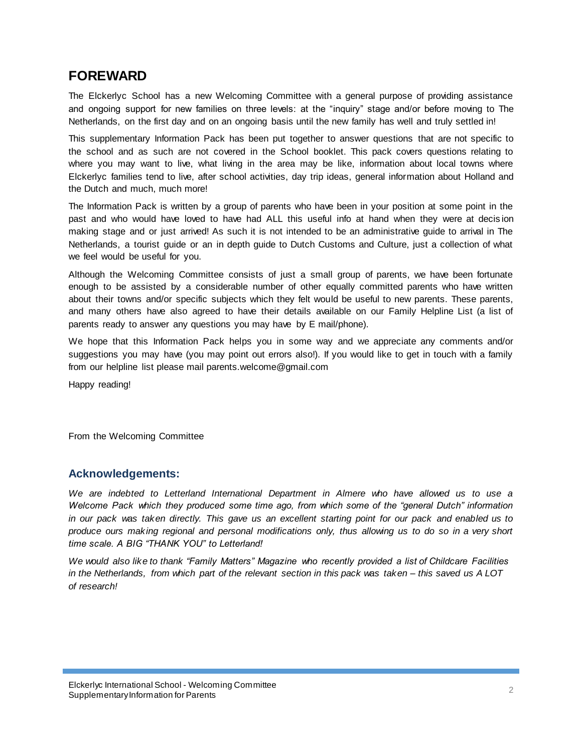# **FOREWARD**

The Elckerlyc School has a new Welcoming Committee with a general purpose of providing assistance and ongoing support for new families on three levels: at the "inquiry" stage and/or before moving to The Netherlands, on the first day and on an ongoing basis until the new family has well and truly settled in!

This supplementary Information Pack has been put together to answer questions that are not specific to the school and as such are not covered in the School booklet. This pack covers questions relating to where you may want to live, what living in the area may be like, information about local towns where Elckerlyc families tend to live, after school activities, day trip ideas, general information about Holland and the Dutch and much, much more!

The Information Pack is written by a group of parents who have been in your position at some point in the past and who would have loved to have had ALL this useful info at hand when they were at decis ion making stage and or just arrived! As such it is not intended to be an administrative guide to arrival in The Netherlands, a tourist guide or an in depth guide to Dutch Customs and Culture, just a collection of what we feel would be useful for you.

Although the Welcoming Committee consists of just a small group of parents, we have been fortunate enough to be assisted by a considerable number of other equally committed parents who have written about their towns and/or specific subjects which they felt would be useful to new parents. These parents, and many others have also agreed to have their details available on our Family Helpline List (a list of parents ready to answer any questions you may have by E mail/phone).

We hope that this Information Pack helps you in some way and we appreciate any comments and/or suggestions you may have (you may point out errors also!). If you would like to get in touch with a family from our helpline list please mail parents.welcome@gmail.com

Happy reading!

From the Welcoming Committee

## **Acknowledgements:**

*We are indebted to Letterland International Department in Almere who have allowed us to use a Welcome Pack which they produced some time ago, from which some of the "general Dutch" information in our pack was taken directly. This gave us an excellent starting point for our pack and enabled us to produce ours making regional and personal modifications only, thus allowing us to do so in a very short time scale. A BIG "THANK YOU" to Letterland!*

*We would also like to thank "Family Matters" Magazine who recently provided a list of Childcare Facilities in the Netherlands, from which part of the relevant section in this pack was taken – this saved us A LOT of research!*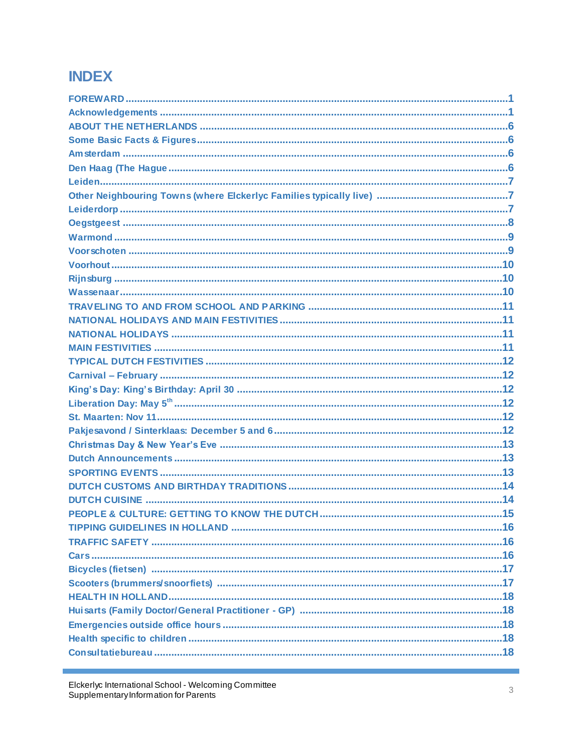# **INDEX**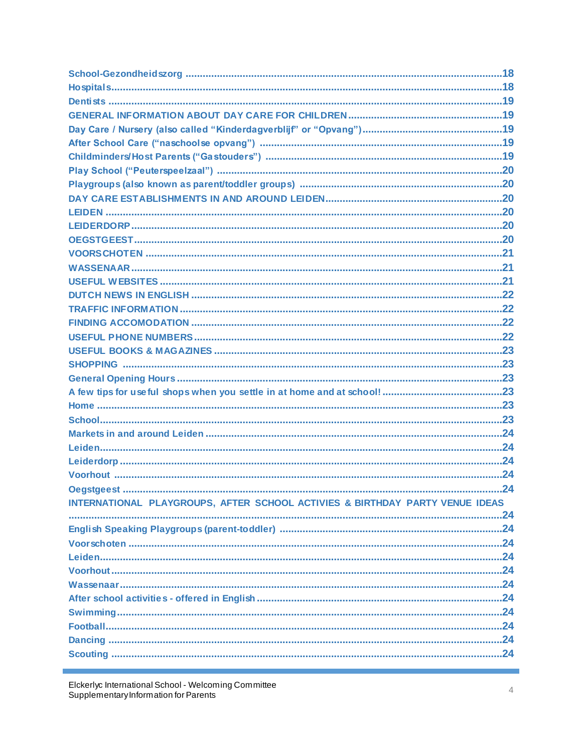| INTERNATIONAL PLAYGROUPS, AFTER SCHOOL ACTIVIES & BIRTHDAY PARTY VENUE IDEAS |  |
|------------------------------------------------------------------------------|--|
|                                                                              |  |
|                                                                              |  |
|                                                                              |  |
|                                                                              |  |
|                                                                              |  |
|                                                                              |  |
|                                                                              |  |
|                                                                              |  |
|                                                                              |  |
|                                                                              |  |
|                                                                              |  |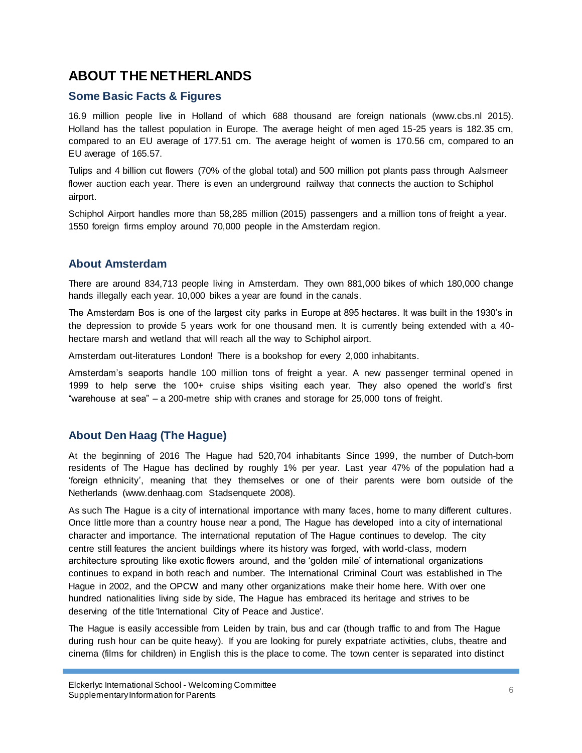# **ABOUT THE NETHERLANDS**

## **Some Basic Facts & Figures**

16.9 million people live in Holland of which 688 thousand are foreign nationals (www.cbs.nl 2015). Holland has the tallest population in Europe. The average height of men aged 15-25 years is 182.35 cm, compared to an EU average of 177.51 cm. The average height of women is 170.56 cm, compared to an EU average of 165.57.

Tulips and 4 billion cut flowers (70% of the global total) and 500 million pot plants pass through Aalsmeer flower auction each year. There is even an underground railway that connects the auction to Schiphol airport.

Schiphol Airport handles more than 58,285 million (2015) passengers and a million tons of freight a year. 1550 foreign firms employ around 70,000 people in the Amsterdam region.

## **About Amsterdam**

There are around 834,713 people living in Amsterdam. They own 881,000 bikes of which 180,000 change hands illegally each year. 10,000 bikes a year are found in the canals.

The Amsterdam Bos is one of the largest city parks in Europe at 895 hectares. It was built in the 1930"s in the depression to provide 5 years work for one thousand men. It is currently being extended with a 40 hectare marsh and wetland that will reach all the way to Schiphol airport.

Amsterdam out-literatures London! There is a bookshop for every 2,000 inhabitants.

Amsterdam"s seaports handle 100 million tons of freight a year. A new passenger terminal opened in 1999 to help serve the 100+ cruise ships visiting each year. They also opened the world"s first "warehouse at sea" – a 200-metre ship with cranes and storage for 25,000 tons of freight.

## **About Den Haag (The Hague)**

At the beginning of 2016 The Hague had 520,704 inhabitants Since 1999, the number of Dutch-born residents of The Hague has declined by roughly 1% per year. Last year 47% of the population had a "foreign ethnicity", meaning that they themselves or one of their parents were born outside of the Netherlands (www.denhaag.com Stadsenquete 2008).

As such The Hague is a city of international importance with many faces, home to many different cultures. Once little more than a country house near a pond, The Hague has developed into a city of international character and importance. The international reputation of The Hague continues to develop. The city centre still features the ancient buildings where its history was forged, with world-class, modern architecture sprouting like exotic flowers around, and the "golden mile" of international organizations continues to expand in both reach and number. The International Criminal Court was established in The Hague in 2002, and the OPCW and many other organizations make their home here. With over one hundred nationalities living side by side, The Hague has embraced its heritage and strives to be deserving of the title 'International City of Peace and Justice'.

The Hague is easily accessible from Leiden by train, bus and car (though traffic to and from The Hague during rush hour can be quite heavy). If you are looking for purely expatriate activities, clubs, theatre and cinema (films for children) in English this is the place to come. The town center is separated into distinct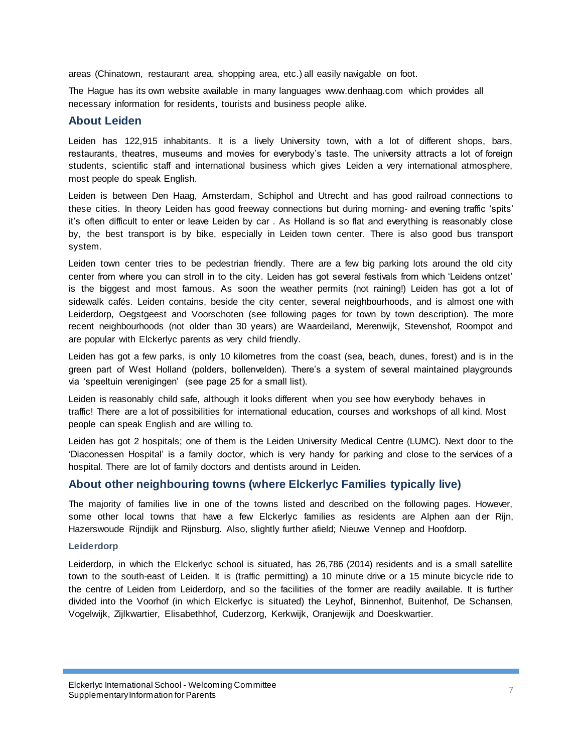areas (Chinatown, restaurant area, shopping area, etc.) all easily navigable on foot.

The Hague has its own website available in many languages www.denhaag.com which provides all necessary information for residents, tourists and business people alike.

#### **About Leiden**

Leiden has 122,915 inhabitants. It is a lively University town, with a lot of different shops, bars, restaurants, theatres, museums and movies for everybody"s taste. The university attracts a lot of foreign students, scientific staff and international business which gives Leiden a very international atmosphere, most people do speak English.

Leiden is between Den Haag, Amsterdam, Schiphol and Utrecht and has good railroad connections to these cities. In theory Leiden has good freeway connections but during morning- and evening traffic "spits" it"s often difficult to enter or leave Leiden by car . As Holland is so flat and everything is reasonably close by, the best transport is by bike, especially in Leiden town center. There is also good bus transport system.

Leiden town center tries to be pedestrian friendly. There are a few big parking lots around the old city center from where you can stroll in to the city. Leiden has got several festivals from which "Leidens ontzet" is the biggest and most famous. As soon the weather permits (not raining!) Leiden has got a lot of sidewalk cafés. Leiden contains, beside the city center, several neighbourhoods, and is almost one with Leiderdorp, Oegstgeest and Voorschoten (see following pages for town by town description). The more recent neighbourhoods (not older than 30 years) are Waardeiland, Merenwijk, Stevenshof, Roompot and are popular with Elckerlyc parents as very child friendly.

Leiden has got a few parks, is only 10 kilometres from the coast (sea, beach, dunes, forest) and is in the green part of West Holland (polders, bollenvelden). There"s a system of several maintained playgrounds via "speeltuin verenigingen" (see page 25 for a small list).

Leiden is reasonably child safe, although it looks different when you see how everybody behaves in traffic! There are a lot of possibilities for international education, courses and workshops of all kind. Most people can speak English and are willing to.

Leiden has got 2 hospitals; one of them is the Leiden University Medical Centre (LUMC). Next door to the "Diaconessen Hospital" is a family doctor, which is very handy for parking and close to the services of a hospital. There are lot of family doctors and dentists around in Leiden.

#### **About other neighbouring towns (where Elckerlyc Families typically live)**

The majority of families live in one of the towns listed and described on the following pages. However, some other local towns that have a few Elckerlyc families as residents are Alphen aan der Rijn, Hazerswoude Rijndijk and Rijnsburg. Also, slightly further afield; Nieuwe Vennep and Hoofdorp.

#### **Leiderdorp**

Leiderdorp, in which the Elckerlyc school is situated, has 26,786 (2014) residents and is a small satellite town to the south-east of Leiden. It is (traffic permitting) a 10 minute drive or a 15 minute bicycle ride to the centre of Leiden from Leiderdorp, and so the facilities of the former are readily available. It is further divided into the Voorhof (in which Elckerlyc is situated) the Leyhof, Binnenhof, Buitenhof, De Schansen, Vogelwijk, Zijlkwartier, Elisabethhof, Cuderzorg, Kerkwijk, Oranjewijk and Doeskwartier.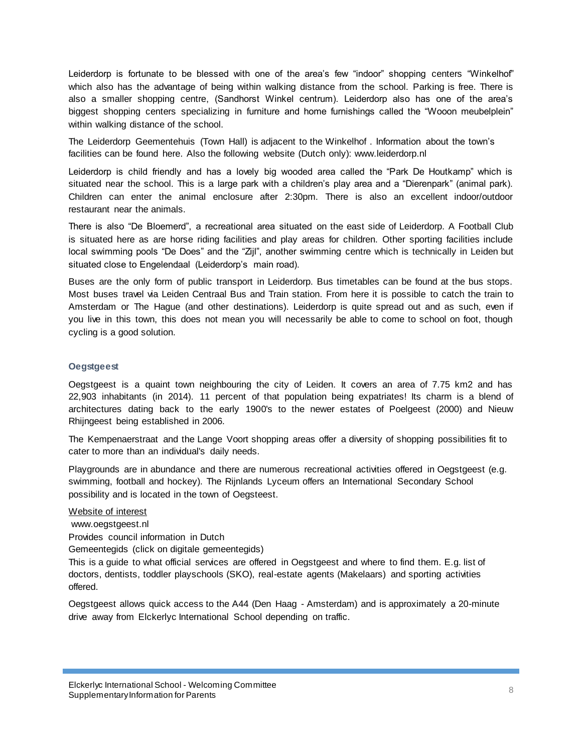Leiderdorp is fortunate to be blessed with one of the area's few "indoor" shopping centers "Winkelhof" which also has the advantage of being within walking distance from the school. Parking is free. There is also a smaller shopping centre, (Sandhorst Winkel centrum). Leiderdorp also has one of the area"s biggest shopping centers specializing in furniture and home furnishings called the "Wooon meubelplein" within walking distance of the school.

The Leiderdorp Geementehuis (Town Hall) is adjacent to the Winkelhof . Information about the town"s facilities can be found here. Also the following website (Dutch only): www.leiderdorp.nl

Leiderdorp is child friendly and has a lovely big wooded area called the "Park De Houtkamp" which is situated near the school. This is a large park with a children's play area and a "Dierenpark" (animal park). Children can enter the animal enclosure after 2:30pm. There is also an excellent indoor/outdoor restaurant near the animals.

There is also "De Bloemerd", a recreational area situated on the east side of Leiderdorp. A Football Club is situated here as are horse riding facilities and play areas for children. Other sporting facilities include local swimming pools "De Does" and the "Zijl", another swimming centre which is technically in Leiden but situated close to Engelendaal (Leiderdorp's main road).

Buses are the only form of public transport in Leiderdorp. Bus timetables can be found at the bus stops. Most buses travel via Leiden Centraal Bus and Train station. From here it is possible to catch the train to Amsterdam or The Hague (and other destinations). Leiderdorp is quite spread out and as such, even if you live in this town, this does not mean you will necessarily be able to come to school on foot, though cycling is a good solution.

#### **Oegstgeest**

Oegstgeest is a quaint town neighbouring the city of Leiden. It covers an area of 7.75 km2 and has 22,903 inhabitants (in 2014). 11 percent of that population being expatriates! Its charm is a blend of architectures dating back to the early 1900's to the newer estates of Poelgeest (2000) and Nieuw Rhijngeest being established in 2006.

The Kempenaerstraat and the Lange Voort shopping areas offer a diversity of shopping possibilities fit to cater to more than an individual's daily needs.

Playgrounds are in abundance and there are numerous recreational activities offered in Oegstgeest (e.g. swimming, football and hockey). The Rijnlands Lyceum offers an International Secondary School possibility and is located in the town of Oegsteest.

#### Website of interest

[www.oegstgeest.nl](http://www.oegstgeest.nl/) Provides council information in Dutch Gemeentegids (click on digitale gemeentegids) This is a guide to what official services are offered in Oegstgeest and where to find them. E.g. list of

doctors, dentists, toddler playschools (SKO), real-estate agents (Makelaars) and sporting activities offered.

Oegstgeest allows quick access to the A44 (Den Haag - Amsterdam) and is approximately a 20-minute drive away from Elckerlyc International School depending on traffic.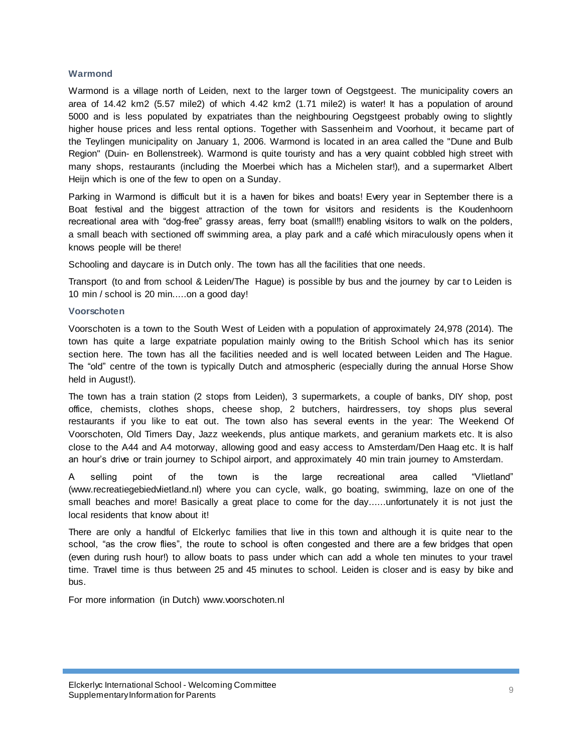#### **Warmond**

Warmond is a village north of Leiden, next to the larger town of Oegstgeest. The municipality covers an area of 14.42 km2 (5.57 mile2) of which 4.42 km2 (1.71 mile2) is water! It has a population of around 5000 and is less populated by expatriates than the neighbouring Oegstgeest probably owing to slightly higher house prices and less rental options. Together with Sassenheim and Voorhout, it became part of the Teylingen municipality on January 1, 2006. Warmond is located in an area called the "Dune and Bulb Region" (Duin- en Bollenstreek). Warmond is quite touristy and has a very quaint cobbled high street with many shops, restaurants (including the Moerbei which has a Michelen star!), and a supermarket Albert Heijn which is one of the few to open on a Sunday.

Parking in Warmond is difficult but it is a haven for bikes and boats! Every year in September there is a Boat festival and the biggest attraction of the town for visitors and residents is the Koudenhoorn recreational area with "dog-free" grassy areas, ferry boat (small!!) enabling visitors to walk on the polders, a small beach with sectioned off swimming area, a play park and a café which miraculously opens when it knows people will be there!

Schooling and daycare is in Dutch only. The town has all the facilities that one needs.

Transport (to and from school & Leiden/The Hague) is possible by bus and the journey by car to Leiden is 10 min / school is 20 min.....on a good day!

#### **Voorschoten**

Voorschoten is a town to the South West of Leiden with a population of approximately 24,978 (2014). The town has quite a large expatriate population mainly owing to the British School which has its senior section here. The town has all the facilities needed and is well located between Leiden and The Hague. The "old" centre of the town is typically Dutch and atmospheric (especially during the annual Horse Show held in August!).

The town has a train station (2 stops from Leiden), 3 supermarkets, a couple of banks, DIY shop, post office, chemists, clothes shops, cheese shop, 2 butchers, hairdressers, toy shops plus several restaurants if you like to eat out. The town also has several events in the year: The Weekend Of Voorschoten, Old Timers Day, Jazz weekends, plus antique markets, and geranium markets etc. It is also close to the A44 and A4 motorway, allowing good and easy access to Amsterdam/Den Haag etc. It is half an hour"s drive or train journey to Schipol airport, and approximately 40 min train journey to Amsterdam.

A selling point of the town is the large recreational area called "Vlietland" (www.recreatiegebiedvlietland.nl) where you can cycle, walk, go boating, swimming, laze on one of the small beaches and more! Basically a great place to come for the day......unfortunately it is not just the local residents that know about it!

There are only a handful of Elckerlyc families that live in this town and although it is quite near to the school, "as the crow flies", the route to school is often congested and there are a few bridges that open (even during rush hour!) to allow boats to pass under which can add a whole ten minutes to your travel time. Travel time is thus between 25 and 45 minutes to school. Leiden is closer and is easy by bike and bus.

For more information (in Dutch) [www.voorschoten.nl](http://www.voorschoten.nl/)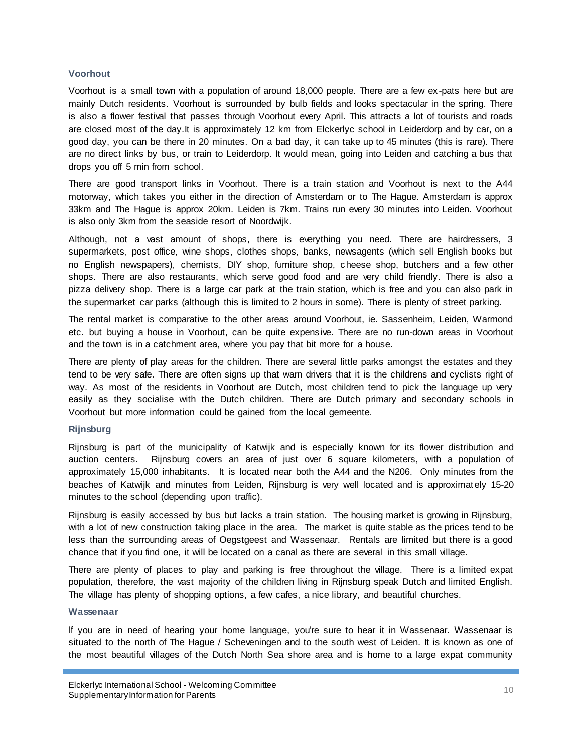#### **Voorhout**

Voorhout is a small town with a population of around 18,000 people. There are a few ex-pats here but are mainly Dutch residents. Voorhout is surrounded by bulb fields and looks spectacular in the spring. There is also a flower festival that passes through Voorhout every April. This attracts a lot of tourists and roads are closed most of the day.It is approximately 12 km from Elckerlyc school in Leiderdorp and by car, on a good day, you can be there in 20 minutes. On a bad day, it can take up to 45 minutes (this is rare). There are no direct links by bus, or train to Leiderdorp. It would mean, going into Leiden and catching a bus that drops you off 5 min from school.

There are good transport links in Voorhout. There is a train station and Voorhout is next to the A44 motorway, which takes you either in the direction of Amsterdam or to The Hague. Amsterdam is approx 33km and The Hague is approx 20km. Leiden is 7km. Trains run every 30 minutes into Leiden. Voorhout is also only 3km from the seaside resort of Noordwijk.

Although, not a vast amount of shops, there is everything you need. There are hairdressers, 3 supermarkets, post office, wine shops, clothes shops, banks, newsagents (which sell English books but no English newspapers), chemists, DIY shop, furniture shop, cheese shop, butchers and a few other shops. There are also restaurants, which serve good food and are very child friendly. There is also a pizza delivery shop. There is a large car park at the train station, which is free and you can also park in the supermarket car parks (although this is limited to 2 hours in some). There is plenty of street parking.

The rental market is comparative to the other areas around Voorhout, ie. Sassenheim, Leiden, Warmond etc. but buying a house in Voorhout, can be quite expensive. There are no run-down areas in Voorhout and the town is in a catchment area, where you pay that bit more for a house.

There are plenty of play areas for the children. There are several little parks amongst the estates and they tend to be very safe. There are often signs up that warn drivers that it is the childrens and cyclists right of way. As most of the residents in Voorhout are Dutch, most children tend to pick the language up very easily as they socialise with the Dutch children. There are Dutch primary and secondary schools in Voorhout but more information could be gained from the local gemeente.

#### **Rijnsburg**

Rijnsburg is part of the municipality of Katwijk and is especially known for its flower distribution and auction centers. Rijnsburg covers an area of just over 6 square kilometers, with a population of approximately 15,000 inhabitants. It is located near both the A44 and the N206. Only minutes from the beaches of Katwijk and minutes from Leiden, Rijnsburg is very well located and is approximat ely 15-20 minutes to the school (depending upon traffic).

Rijnsburg is easily accessed by bus but lacks a train station. The housing market is growing in Rijnsburg, with a lot of new construction taking place in the area. The market is quite stable as the prices tend to be less than the surrounding areas of Oegstgeest and Wassenaar. Rentals are limited but there is a good chance that if you find one, it will be located on a canal as there are several in this small village.

There are plenty of places to play and parking is free throughout the village. There is a limited expat population, therefore, the vast majority of the children living in Rijnsburg speak Dutch and limited English. The village has plenty of shopping options, a few cafes, a nice library, and beautiful churches.

#### **Wassenaar**

If you are in need of hearing your home language, you're sure to hear it in Wassenaar. Wassenaar is situated to the north of The Hague / Scheveningen and to the south west of Leiden. It is known as one of the most beautiful villages of the Dutch North Sea shore area and is home to a large expat community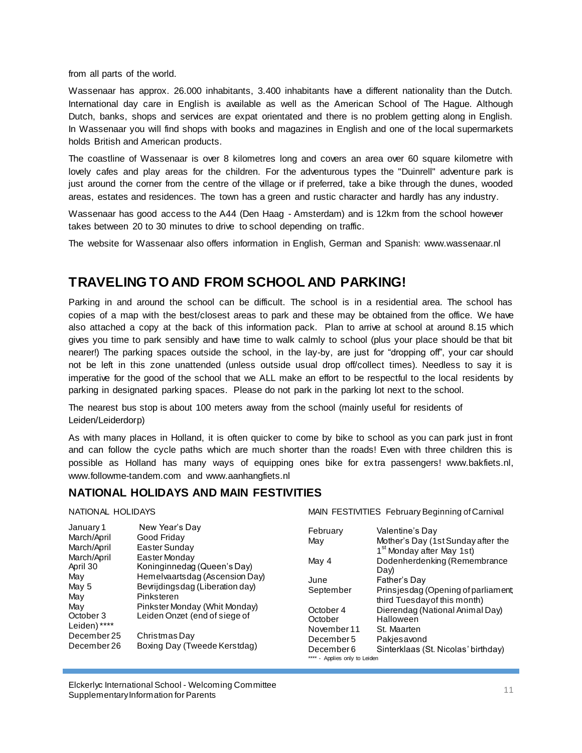from all parts of the world.

Wassenaar has approx. 26.000 inhabitants, 3.400 inhabitants have a different nationality than the Dutch. International day care in English is available as well as the American School of The Hague. Although Dutch, banks, shops and services are expat orientated and there is no problem getting along in English. In Wassenaar you will find shops with books and magazines in English and one of the local supermarkets holds British and American products.

The coastline of Wassenaar is over 8 kilometres long and covers an area over 60 square kilometre with lovely cafes and play areas for the children. For the adventurous types the "Duinrell" adventure park is just around the corner from the centre of the village or if preferred, take a bike through the dunes, wooded areas, estates and residences. The town has a green and rustic character and hardly has any industry.

Wassenaar has good access to the A44 (Den Haag - Amsterdam) and is 12km from the school however takes between 20 to 30 minutes to drive to school depending on traffic.

The website for Wassenaar also offers information in English, German and Spanish: www.wassenaar.nl

# **TRAVELING TO AND FROM SCHOOL AND PARKING!**

Parking in and around the school can be difficult. The school is in a residential area. The school has copies of a map with the best/closest areas to park and these may be obtained from the office. We have also attached a copy at the back of this information pack. Plan to arrive at school at around 8.15 which gives you time to park sensibly and have time to walk calmly to school (plus your place should be that bit nearer!) The parking spaces outside the school, in the lay-by, are just for "dropping off", your car should not be left in this zone unattended (unless outside usual drop off/collect times). Needless to say it is imperative for the good of the school that we ALL make an effort to be respectful to the local residents by parking in designated parking spaces. Please do not park in the parking lot next to the school.

The nearest bus stop is about 100 meters away from the school (mainly useful for residents of Leiden/Leiderdorp)

As with many places in Holland, it is often quicker to come by bike to school as you can park just in front and can follow the cycle paths which are much shorter than the roads! Even with three children this is possible as Holland has many ways of equipping ones bike for extra passengers! www.bakfiets.nl, www.followme-tandem.com and www.aanhangfiets.nl

#### **NATIONAL HOLIDAYS AND MAIN FESTIVITIES**

NATIONAL HOLIDAYS

| January 1    | New Year's Day                  |             |                    |
|--------------|---------------------------------|-------------|--------------------|
| March/April  | Good Friday                     | February    | Valen              |
|              |                                 | May         | Mothe              |
| March/April  | Easter Sunday                   |             | 1 <sup>st</sup> Mc |
| March/April  | Easter Monday                   | May 4       | Dode               |
| April 30     | Koninginnedag (Queen's Day)     |             | Day)               |
| May          | Hemelvaartsdag (Ascension Day)  |             |                    |
| May 5        | Bevrijdingsdag (Liberation day) | June        | Fathe              |
|              |                                 | September   | Prins              |
| May          | Pinksteren                      |             | third <sup>-</sup> |
| May          | Pinkster Monday (Whit Monday)   | October 4   | Diere              |
| October 3    | Leiden Onzet (end of siege of   | October     | Hallo              |
| Leiden) **** |                                 |             |                    |
| December 25  | Christmas Day                   | November 11 | St. Ma             |
|              |                                 | December 5  | Pakje              |
| December 26  | Boxing Day (Tweede Kerstdag)    | December 6  | Sinter             |
|              |                                 |             |                    |

MAIN FESTIVITIES February Beginning of Carnival

| February                      | Valentine's Day                       |
|-------------------------------|---------------------------------------|
| Mav                           | Mother's Day (1st Sunday after the    |
|                               | 1 <sup>st</sup> Monday after May 1st) |
| May 4                         | Dodenherdenking (Remembrance          |
|                               | Day)                                  |
| June                          | Father's Day                          |
| September                     | Prinsjesdag (Opening of parliament,   |
|                               | third Tuesday of this month)          |
| October 4                     | Dierendag (National Animal Day)       |
| October                       | Halloween                             |
| November 11                   | St. Maarten                           |
| December 5                    | Pakjesavond                           |
| December 6                    | Sinterklaas (St. Nicolas' birthday)   |
| **** - Applies only to Leiden |                                       |
|                               |                                       |

Elckerlyc International School - Welcoming Committee Eicherige international School - welcoming Committee<br>Supplementary Information for Parents 11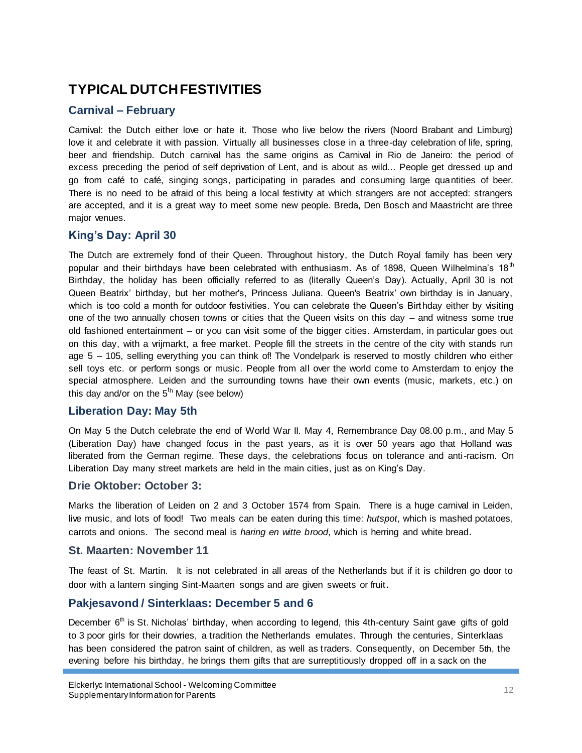# **TYPICAL DUTCH FESTIVITIES**

## **Carnival – February**

Carnival: the Dutch either love or hate it. Those who live below the rivers (Noord Brabant and Limburg) love it and celebrate it with passion. Virtually all businesses close in a three-day celebration of life, spring, beer and friendship. Dutch carnival has the same origins as Carnival in Rio de Janeiro: the period of excess preceding the period of self deprivation of Lent, and is about as wild... People get dressed up and go from café to café, singing songs, participating in parades and consuming large quantities of beer. There is no need to be afraid of this being a local festivity at which strangers are not accepted: strangers are accepted, and it is a great way to meet some new people. Breda, Den Bosch and Maastricht are three major venues.

#### **King's Day: April 30**

The Dutch are extremely fond of their Queen. Throughout history, the Dutch Royal family has been very popular and their birthdays have been celebrated with enthusiasm. As of 1898, Queen Wilhelmina's 18<sup>th</sup> Birthday, the holiday has been officially referred to as (literally Queen"s Day). Actually, April 30 is not Queen Beatrix" birthday, but her mother's, Princess Juliana. Queen's Beatrix" own birthday is in January, which is too cold a month for outdoor festivities. You can celebrate the Queen's Birthday either by visiting one of the two annually chosen towns or cities that the Queen visits on this day – and witness some true old fashioned entertainment – or you can visit some of the bigger cities. Amsterdam, in particular goes out on this day, with a vrijmarkt, a free market. People fill the streets in the centre of the city with stands run age 5 – 105, selling everything you can think of! The Vondelpark is reserved to mostly children who either sell toys etc. or perform songs or music. People from all over the world come to Amsterdam to enjoy the special atmosphere. Leiden and the surrounding towns have their own events (music, markets, etc.) on this day and/or on the  $5<sup>th</sup>$  May (see below)

#### **Liberation Day: May 5th**

On May 5 the Dutch celebrate the end of World War II. May 4, Remembrance Day 08.00 p.m., and May 5 (Liberation Day) have changed focus in the past years, as it is over 50 years ago that Holland was liberated from the German regime. These days, the celebrations focus on tolerance and anti-racism. On Liberation Day many street markets are held in the main cities, just as on King"s Day.

#### **Drie Oktober: October 3:**

Marks the liberation of Leiden on 2 and 3 October 1574 from Spain. There is a huge carnival in Leiden, live music, and lots of food! Two meals can be eaten during this time: *hutspot*, which is mashed potatoes, carrots and onions. The second meal is *haring en witte brood*, which is herring and white bread.

#### **St. Maarten: November 11**

The feast of St. Martin. It is not celebrated in all areas of the Netherlands but if it is children go door to door with a lantern singing Sint-Maarten songs and are given sweets or fruit.

#### **Pakjesavond / Sinterklaas: December 5 and 6**

December 6<sup>th</sup> is St. Nicholas' birthday, when according to legend, this 4th-century Saint gave gifts of gold to 3 poor girls for their dowries, a tradition the Netherlands emulates. Through the centuries, Sinterklaas has been considered the patron saint of children, as well as traders. Consequently, on December 5th, the evening before his birthday, he brings them gifts that are surreptitiously dropped off in a sack on the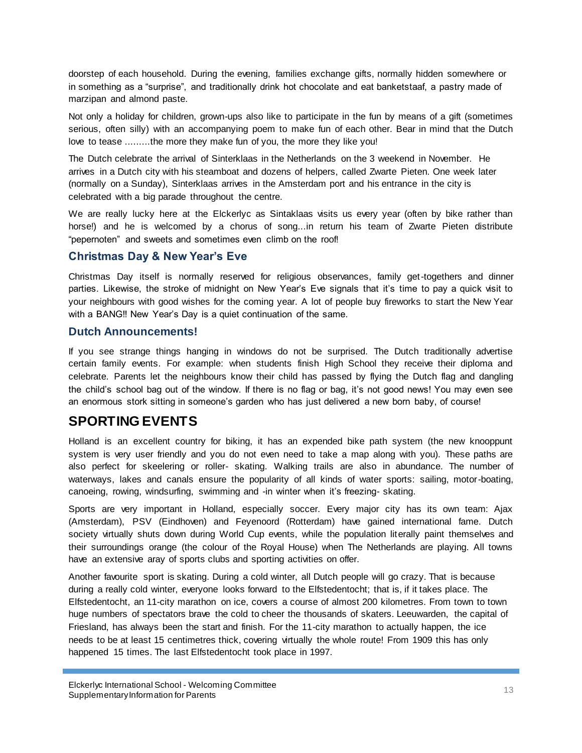doorstep of each household. During the evening, families exchange gifts, normally hidden somewhere or in something as a "surprise", and traditionally drink hot chocolate and eat banketstaaf, a pastry made of marzipan and almond paste.

Not only a holiday for children, grown-ups also like to participate in the fun by means of a gift (sometimes serious, often silly) with an accompanying poem to make fun of each other. Bear in mind that the Dutch love to tease .........the more they make fun of you, the more they like you!

The Dutch celebrate the arrival of Sinterklaas in the Netherlands on the 3 weekend in November. He arrives in a Dutch city with his steamboat and dozens of helpers, called Zwarte Pieten. One week later (normally on a Sunday), Sinterklaas arrives in the Amsterdam port and his entrance in the city is celebrated with a big parade throughout the centre.

We are really lucky here at the Elckerlyc as Sintaklaas visits us every year (often by bike rather than horse!) and he is welcomed by a chorus of song...in return his team of Zwarte Pieten distribute "pepernoten" and sweets and sometimes even climb on the roof!

#### **Christmas Day & New Year's Eve**

Christmas Day itself is normally reserved for religious observances, family get-togethers and dinner parties. Likewise, the stroke of midnight on New Year's Eve signals that it's time to pay a quick visit to your neighbours with good wishes for the coming year. A lot of people buy fireworks to start the New Year with a BANG!! New Year"s Day is a quiet continuation of the same.

#### **Dutch Announcements!**

If you see strange things hanging in windows do not be surprised. The Dutch traditionally advertise certain family events. For example: when students finish High School they receive their diploma and celebrate. Parents let the neighbours know their child has passed by flying the Dutch flag and dangling the child"s school bag out of the window. If there is no flag or bag, it"s not good news! You may even see an enormous stork sitting in someone's garden who has just delivered a new born baby, of course!

# **SPORTING EVENTS**

Holland is an excellent country for biking, it has an expended bike path system (the new knooppunt system is very user friendly and you do not even need to take a map along with you). These paths are also perfect for skeelering or roller- skating. Walking trails are also in abundance. The number of waterways, lakes and canals ensure the popularity of all kinds of water sports: sailing, motor-boating, canoeing, rowing, windsurfing, swimming and -in winter when it's freezing- skating.

Sports are very important in Holland, especially soccer. Every major city has its own team: Ajax (Amsterdam), PSV (Eindhoven) and Feyenoord (Rotterdam) have gained international fame. Dutch society virtually shuts down during World Cup events, while the population literally paint themselves and their surroundings orange (the colour of the Royal House) when The Netherlands are playing. All towns have an extensive aray of sports clubs and sporting activities on offer.

Another favourite sport is skating. During a cold winter, all Dutch people will go crazy. That is because during a really cold winter, everyone looks forward to the Elfstedentocht; that is, if it takes place. The Elfstedentocht, an 11-city marathon on ice, covers a course of almost 200 kilometres. From town to town huge numbers of spectators brave the cold to cheer the thousands of skaters. Leeuwarden, the capital of Friesland, has always been the start and finish. For the 11-city marathon to actually happen, the ice needs to be at least 15 centimetres thick, covering virtually the whole route! From 1909 this has only happened 15 times. The last Elfstedentocht took place in 1997.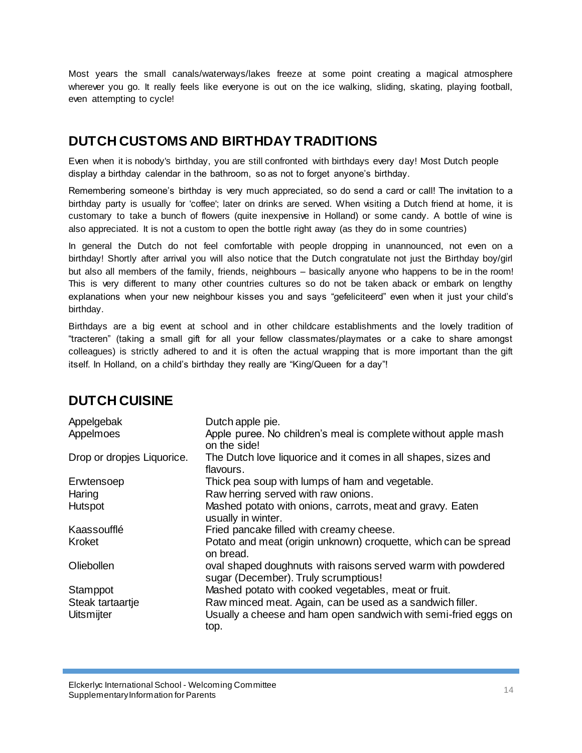Most years the small canals/waterways/lakes freeze at some point creating a magical atmosphere wherever you go. It really feels like everyone is out on the ice walking, sliding, skating, playing football, even attempting to cycle!

# **DUTCH CUSTOMS AND BIRTHDAY TRADITIONS**

Even when it is nobody's birthday, you are still confronted with birthdays every day! Most Dutch people display a birthday calendar in the bathroom, so as not to forget anyone"s birthday.

Remembering someone"s birthday is very much appreciated, so do send a card or call! The invitation to a birthday party is usually for 'coffee'; later on drinks are served. When visiting a Dutch friend at home, it is customary to take a bunch of flowers (quite inexpensive in Holland) or some candy. A bottle of wine is also appreciated. It is not a custom to open the bottle right away (as they do in some countries)

In general the Dutch do not feel comfortable with people dropping in unannounced, not even on a birthday! Shortly after arrival you will also notice that the Dutch congratulate not just the Birthday boy/girl but also all members of the family, friends, neighbours – basically anyone who happens to be in the room! This is very different to many other countries cultures so do not be taken aback or embark on lengthy explanations when your new neighbour kisses you and says "gefeliciteerd" even when it just your child"s birthday.

Birthdays are a big event at school and in other childcare establishments and the lovely tradition of "tracteren" (taking a small gift for all your fellow classmates/playmates or a cake to share amongst colleagues) is strictly adhered to and it is often the actual wrapping that is more important than the gift itself. In Holland, on a child's birthday they really are "King/Queen for a day"!

| Appelgebak<br>Appelmoes    | Dutch apple pie.<br>Apple puree. No children's meal is complete without apple mash<br>on the side!   |
|----------------------------|------------------------------------------------------------------------------------------------------|
| Drop or dropjes Liquorice. | The Dutch love liquorice and it comes in all shapes, sizes and<br>flavours.                          |
| Erwtensoep                 | Thick pea soup with lumps of ham and vegetable.                                                      |
| Haring                     | Raw herring served with raw onions.                                                                  |
| Hutspot                    | Mashed potato with onions, carrots, meat and gravy. Eaten<br>usually in winter.                      |
| Kaassoufflé                | Fried pancake filled with creamy cheese.                                                             |
| Kroket                     | Potato and meat (origin unknown) croquette, which can be spread<br>on bread.                         |
| Oliebollen                 | oval shaped doughnuts with raisons served warm with powdered<br>sugar (December). Truly scrumptious! |
| Stamppot                   | Mashed potato with cooked vegetables, meat or fruit.                                                 |
| Steak tartaartje           | Raw minced meat. Again, can be used as a sandwich filler.                                            |
| <b>Uitsmijter</b>          | Usually a cheese and ham open sandwich with semi-fried eggs on<br>top.                               |

# **DUTCH CUISINE**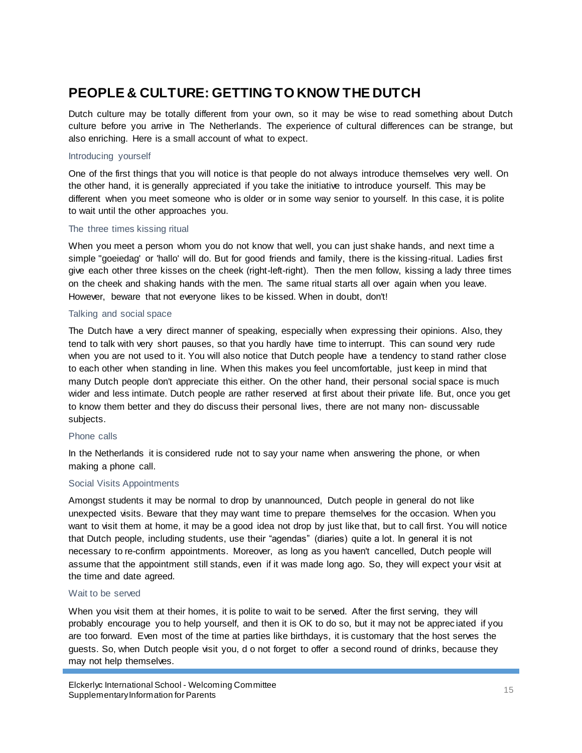# **PEOPLE & CULTURE: GETTING TO KNOW THE DUTCH**

Dutch culture may be totally different from your own, so it may be wise to read something about Dutch culture before you arrive in The Netherlands. The experience of cultural differences can be strange, but also enriching. Here is a small account of what to expect.

#### Introducing yourself

One of the first things that you will notice is that people do not always introduce themselves very well. On the other hand, it is generally appreciated if you take the initiative to introduce yourself. This may be different when you meet someone who is older or in some way senior to yourself. In this case, it is polite to wait until the other approaches you.

#### The three times kissing ritual

When you meet a person whom you do not know that well, you can just shake hands, and next time a simple "goeiedag' or 'hallo' will do. But for good friends and family, there is the kissing-ritual. Ladies first give each other three kisses on the cheek (right-left-right). Then the men follow, kissing a lady three times on the cheek and shaking hands with the men. The same ritual starts all over again when you leave. However, beware that not everyone likes to be kissed. When in doubt, don't!

#### Talking and social space

The Dutch have a very direct manner of speaking, especially when expressing their opinions. Also, they tend to talk with very short pauses, so that you hardly have time to interrupt. This can sound very rude when you are not used to it. You will also notice that Dutch people have a tendency to stand rather close to each other when standing in line. When this makes you feel uncomfortable, just keep in mind that many Dutch people don't appreciate this either. On the other hand, their personal social space is much wider and less intimate. Dutch people are rather reserved at first about their private life. But, once you get to know them better and they do discuss their personal lives, there are not many non- discussable subjects.

#### Phone calls

In the Netherlands it is considered rude not to say your name when answering the phone, or when making a phone call.

#### Social Visits Appointments

Amongst students it may be normal to drop by unannounced, Dutch people in general do not like unexpected visits. Beware that they may want time to prepare themselves for the occasion. When you want to visit them at home, it may be a good idea not drop by just like that, but to call first. You will notice that Dutch people, including students, use their "agendas" (diaries) quite a lot. In general it is not necessary to re-confirm appointments. Moreover, as long as you haven't cancelled, Dutch people will assume that the appointment still stands, even if it was made long ago. So, they will expect your visit at the time and date agreed.

#### Wait to be served

When you visit them at their homes, it is polite to wait to be served. After the first serving, they will probably encourage you to help yourself, and then it is OK to do so, but it may not be apprec iated if you are too forward. Even most of the time at parties like birthdays, it is customary that the host serves the guests. So, when Dutch people visit you, d o not forget to offer a second round of drinks, because they may not help themselves.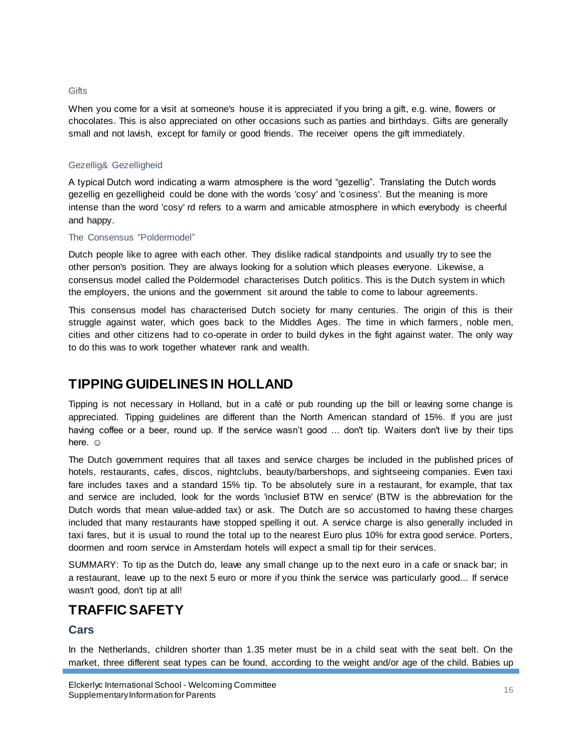#### **Gifts**

When you come for a visit at someone's house it is appreciated if you bring a gift, e.g. wine, flowers or chocolates. This is also appreciated on other occasions such as parties and birthdays. Gifts are generally small and not lavish, except for family or good friends. The receiver opens the gift immediately.

#### Gezellig& Gezelligheid

A typical Dutch word indicating a warm atmosphere is the word "gezellig". Translating the Dutch words gezellig en gezelligheid could be done with the words 'cosy' and 'cosiness'. But the meaning is more intense than the word 'cosy' rd refers to a warm and amicable atmosphere in which everybody is cheerful and happy.

#### The Consensus "Poldermodel"

Dutch people like to agree with each other. They dislike radical standpoints and usually try to see the other person's position. They are always looking for a solution which pleases everyone. Likewise, a consensus model called the Poldermodel characterises Dutch politics. This is the Dutch system in which the employers, the unions and the government sit around the table to come to labour agreements.

This consensus model has characterised Dutch society for many centuries. The origin of this is their struggle against water, which goes back to the Middles Ages. The time in which farmers , noble men, cities and other citizens had to co-operate in order to build dykes in the fight against water. The only way to do this was to work together whatever rank and wealth.

# **TIPPING GUIDELINES IN HOLLAND**

Tipping is not necessary in Holland, but in a café or pub rounding up the bill or leaving some change is appreciated. Tipping guidelines are different than the North American standard of 15%. If you are just having coffee or a beer, round up. If the service wasn't good ... don't tip. Waiters don't live by their tips here.  $\odot$ 

The Dutch government requires that all taxes and service charges be included in the published prices of hotels, restaurants, cafes, discos, nightclubs, beauty/barbershops, and sightseeing companies. Even taxi fare includes taxes and a standard 15% tip. To be absolutely sure in a restaurant, for example, that tax and service are included, look for the words 'inclusief BTW en service' (BTW is the abbreviation for the Dutch words that mean value-added tax) or ask. The Dutch are so accustomed to having these charges included that many restaurants have stopped spelling it out. A service charge is also generally included in taxi fares, but it is usual to round the total up to the nearest Euro plus 10% for extra good service. Porters, doormen and room service in Amsterdam hotels will expect a small tip for their services.

SUMMARY: To tip as the Dutch do, leave any small change up to the next euro in a cafe or snack bar; in a restaurant, leave up to the next 5 euro or more if you think the service was particularly good... If service wasn't good, don't tip at all!

# **TRAFFIC SAFETY**

#### **Cars**

In the Netherlands, children shorter than 1.35 meter must be in a child seat with the seat belt. On the market, three different seat types can be found, according to the weight and/or age of the child. Babies up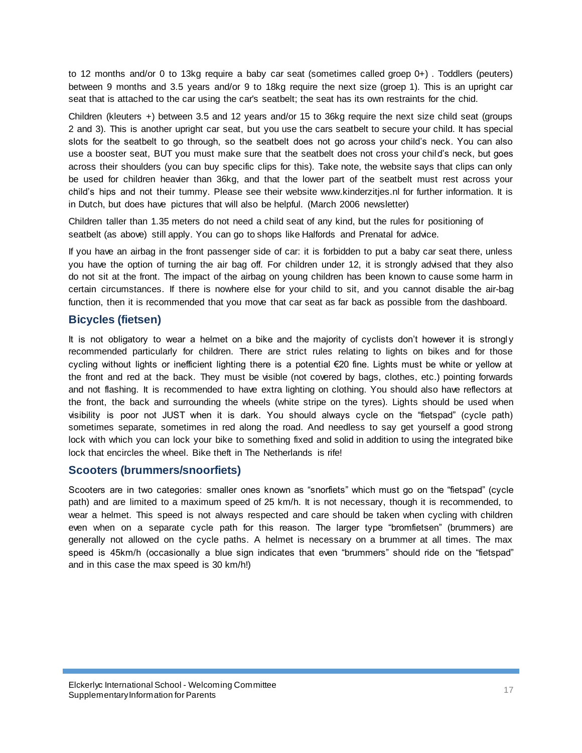to 12 months and/or 0 to 13kg require a baby car seat (sometimes called groep 0+) . Toddlers (peuters) between 9 months and 3.5 years and/or 9 to 18kg require the next size (groep 1). This is an upright car seat that is attached to the car using the car's seatbelt; the seat has its own restraints for the chid.

Children (kleuters +) between 3.5 and 12 years and/or 15 to 36kg require the next size child seat (groups 2 and 3). This is another upright car seat, but you use the cars seatbelt to secure your child. It has special slots for the seatbelt to go through, so the seatbelt does not go across your child"s neck. You can also use a booster seat, BUT you must make sure that the seatbelt does not cross your child's neck, but goes across their shoulders (you can buy specific clips for this). Take note, the website says that clips can only be used for children heavier than 36kg, and that the lower part of the seatbelt must rest across your child"s hips and not their tummy. Please see their website www.kinderzitjes.nl for further information. It is in Dutch, but does have pictures that will also be helpful. (March 2006 newsletter)

Children taller than 1.35 meters do not need a child seat of any kind, but the rules for positioning of seatbelt (as above) still apply. You can go to shops like Halfords and Prenatal for advice.

If you have an airbag in the front passenger side of car: it is forbidden to put a baby car seat there, unless you have the option of turning the air bag off. For children under 12, it is strongly advised that they also do not sit at the front. The impact of the airbag on young children has been known to cause some harm in certain circumstances. If there is nowhere else for your child to sit, and you cannot disable the air-bag function, then it is recommended that you move that car seat as far back as possible from the dashboard.

#### **Bicycles (fietsen)**

It is not obligatory to wear a helmet on a bike and the majority of cyclists don't however it is strongly recommended particularly for children. There are strict rules relating to lights on bikes and for those cycling without lights or inefficient lighting there is a potential €20 fine. Lights must be white or yellow at the front and red at the back. They must be visible (not covered by bags, clothes, etc.) pointing forwards and not flashing. It is recommended to have extra lighting on clothing. You should also have reflectors at the front, the back and surrounding the wheels (white stripe on the tyres). Lights should be used when visibility is poor not JUST when it is dark. You should always cycle on the "fietspad" (cycle path) sometimes separate, sometimes in red along the road. And needless to say get yourself a good strong lock with which you can lock your bike to something fixed and solid in addition to using the integrated bike lock that encircles the wheel. Bike theft in The Netherlands is rife!

#### **Scooters (brummers/snoorfiets)**

Scooters are in two categories: smaller ones known as "snorfiets" which must go on the "fietspad" (cycle path) and are limited to a maximum speed of 25 km/h. It is not necessary, though it is recommended, to wear a helmet. This speed is not always respected and care should be taken when cycling with children even when on a separate cycle path for this reason. The larger type "bromfietsen" (brummers) are generally not allowed on the cycle paths. A helmet is necessary on a brummer at all times. The max speed is 45km/h (occasionally a blue sign indicates that even "brummers" should ride on the "fietspad" and in this case the max speed is 30 km/h!)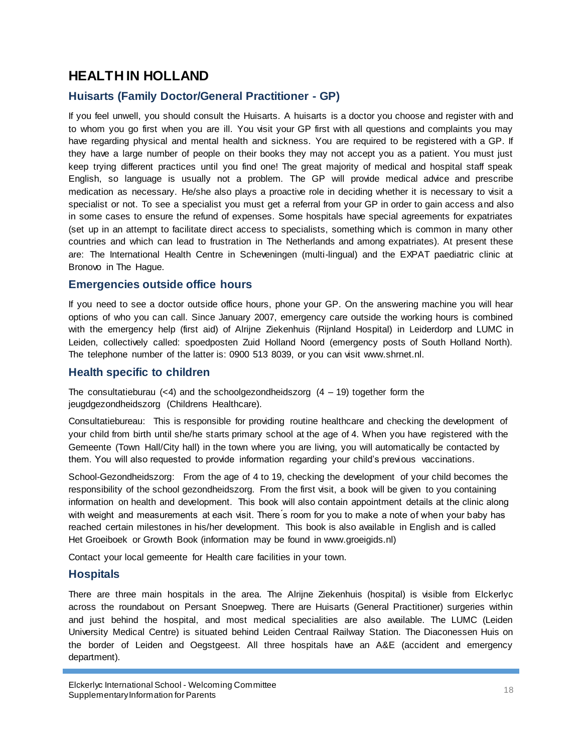# **HEALTH IN HOLLAND**

## **Huisarts (Family Doctor/General Practitioner - GP)**

If you feel unwell, you should consult the Huisarts. A huisarts is a doctor you choose and register with and to whom you go first when you are ill. You visit your GP first with all questions and complaints you may have regarding physical and mental health and sickness. You are required to be registered with a GP. If they have a large number of people on their books they may not accept you as a patient. You must just keep trying different practices until you find one! The great majority of medical and hospital staff speak English, so language is usually not a problem. The GP will provide medical advice and prescribe medication as necessary. He/she also plays a proactive role in deciding whether it is necessary to visit a specialist or not. To see a specialist you must get a referral from your GP in order to gain access and also in some cases to ensure the refund of expenses. Some hospitals have special agreements for expatriates (set up in an attempt to facilitate direct access to specialists, something which is common in many other countries and which can lead to frustration in The Netherlands and among expatriates). At present these are: The International Health Centre in Scheveningen (multi-lingual) and the EXPAT paediatric clinic at Bronovo in The Hague.

#### **Emergencies outside office hours**

If you need to see a doctor outside office hours, phone your GP. On the answering machine you will hear options of who you can call. Since January 2007, emergency care outside the working hours is combined with the emergency help (first aid) of Alrijne Ziekenhuis (Rijnland Hospital) in Leiderdorp and LUMC in Leiden, collectively called: spoedposten Zuid Holland Noord (emergency posts of South Holland North). The telephone number of the latter is: 0900 513 8039, or you can visit www.shrnet.nl.

#### **Health specific to children**

The consultatieburau  $\left($ <4) and the schoolgezondheidszorg  $(4 - 19)$  together form the jeugdgezondheidszorg (Childrens Healthcare).

Consultatiebureau: This is responsible for providing routine healthcare and checking the development of your child from birth until she/he starts primary school at the age of 4. When you have registered with the Gemeente (Town Hall/City hall) in the town where you are living, you will automatically be contacted by them. You will also requested to provide information regarding your child"s previous vaccinations.

School-Gezondheidszorg: From the age of 4 to 19, checking the development of your child becomes the responsibility of the school gezondheidszorg. From the first visit, a book will be given to you containing information on health and development. This book will also contain appointment details at the clinic along with weight and measurements at each visit. There's room for you to make a note of when your baby has reached certain milestones in his/her development. This book is also available in English and is called Het Groeiboek or Growth Book (information may be found in www.groeigids.nl)

Contact your local gemeente for Health care facilities in your town.

## **Hospitals**

There are three main hospitals in the area. The Alrijne Ziekenhuis (hospital) is visible from Elckerlyc across the roundabout on Persant Snoepweg. There are Huisarts (General Practitioner) surgeries within and just behind the hospital, and most medical specialities are also available. The LUMC (Leiden University Medical Centre) is situated behind Leiden Centraal Railway Station. The Diaconessen Huis on the border of Leiden and Oegstgeest. All three hospitals have an A&E (accident and emergency department).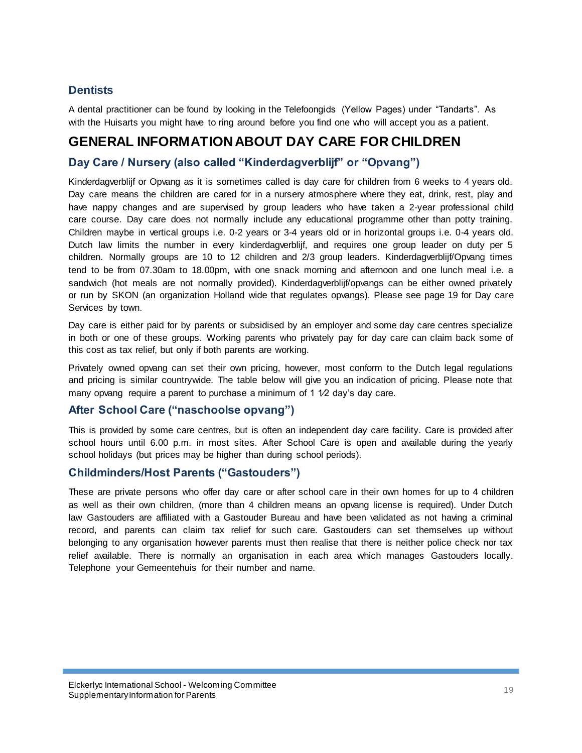## **Dentists**

A dental practitioner can be found by looking in the Telefoongids (Yellow Pages) under "Tandarts". As with the Huisarts you might have to ring around before you find one who will accept you as a patient.

# **GENERAL INFORMATION ABOUT DAY CARE FOR CHILDREN**

## **Day Care / Nursery (also called "Kinderdagverblijf" or "Opvang")**

Kinderdagverblijf or Opvang as it is sometimes called is day care for children from 6 weeks to 4 years old. Day care means the children are cared for in a nursery atmosphere where they eat, drink, rest, play and have nappy changes and are supervised by group leaders who have taken a 2-year professional child care course. Day care does not normally include any educational programme other than potty training. Children maybe in vertical groups i.e. 0-2 years or 3-4 years old or in horizontal groups i.e. 0-4 years old. Dutch law limits the number in every kinderdagverblijf, and requires one group leader on duty per 5 children. Normally groups are 10 to 12 children and 2/3 group leaders. Kinderdagverblijf/Opvang times tend to be from 07.30am to 18.00pm, with one snack morning and afternoon and one lunch meal i.e. a sandwich (hot meals are not normally provided). Kinderdagverblijf/opvangs can be either owned privately or run by SKON (an organization Holland wide that regulates opvangs). Please see page 19 for Day care Services by town.

Day care is either paid for by parents or subsidised by an employer and some day care centres specialize in both or one of these groups. Working parents who privately pay for day care can claim back some of this cost as tax relief, but only if both parents are working.

Privately owned opvang can set their own pricing, however, most conform to the Dutch legal regulations and pricing is similar countrywide. The table below will give you an indication of pricing. Please note that many opvang require a parent to purchase a minimum of 1  $1/2$  day's day care.

#### **After School Care ("naschoolse opvang")**

This is provided by some care centres, but is often an independent day care facility. Care is provided after school hours until 6.00 p.m. in most sites. After School Care is open and available during the yearly school holidays (but prices may be higher than during school periods).

#### **Childminders/Host Parents ("Gastouders")**

These are private persons who offer day care or after school care in their own homes for up to 4 children as well as their own children, (more than 4 children means an opvang license is required). Under Dutch law Gastouders are affiliated with a Gastouder Bureau and have been validated as not having a criminal record, and parents can claim tax relief for such care. Gastouders can set themselves up without belonging to any organisation however parents must then realise that there is neither police check nor tax relief available. There is normally an organisation in each area which manages Gastouders locally. Telephone your Gemeentehuis for their number and name.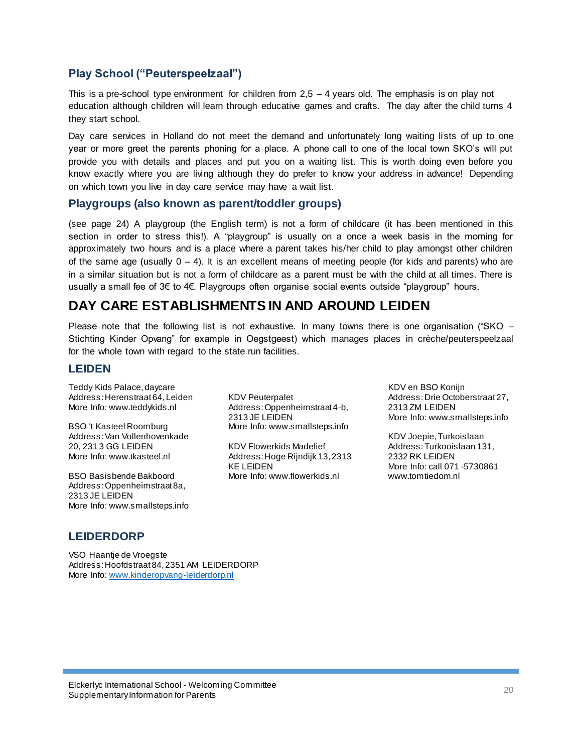## **Play School ("Peuterspeelzaal")**

This is a pre-school type environment for children from  $2.5 - 4$  years old. The emphasis is on play not education although children will learn through educative games and crafts. The day after the child turns 4 they start school.

Day care services in Holland do not meet the demand and unfortunately long waiting lists of up to one year or more greet the parents phoning for a place. A phone call to one of the local town SKO"s will put provide you with details and places and put you on a waiting list. This is worth doing even before you know exactly where you are living although they do prefer to know your address in advance! Depending on which town you live in day care service may have a wait list.

#### **Playgroups (also known as parent/toddler groups)**

(see page 24) A playgroup (the English term) is not a form of childcare (it has been mentioned in this section in order to stress this!). A "playgroup" is usually on a once a week basis in the morning for approximately two hours and is a place where a parent takes his/her child to play amongst other children of the same age (usually  $0 - 4$ ). It is an excellent means of meeting people (for kids and parents) who are in a similar situation but is not a form of childcare as a parent must be with the child at all times. There is usually a small fee of 3€ to 4€. Playgroups often organise social events outside "playgroup" hours.

# **DAY CARE ESTABLISHMENTS IN AND AROUND LEIDEN**

Please note that the following list is not exhaustive. In many towns there is one organisation ("SKO – Stichting Kinder Opvang" for example in Oegstgeest) which manages places in crèche/peuterspeelzaal for the whole town with regard to the state run facilities.

#### **LEIDEN**

Teddy Kids Palace, daycare Address: Herenstraat 64, Leiden More Info: www.teddykids.nl

BSO 't Kasteel Roomburg Address: Van Vollenhovenkade 20, 231 3 GG LEIDEN More Info: www.tkasteel.nl

BSO Basisbende Bakboord Address: Oppenheimstraat 8a, 2313 JE LEIDEN More Info: [www.smallsteps.info](http://www.smallsteps.info/) KDV Peuterpalet Address: Oppenheimstraat 4-b, 2313 JE LEIDEN More Info: www.smallsteps.info

KDV Flowerkids Madelief Address: Hoge Rijndijk 13, 2313 KE LEIDEN More Info: www.flowerkids.nl

KDV en BSO Konijn Address: Drie Octoberstraat 27, 2313 ZM LEIDEN More Info: www.smallsteps.info

KDV Joepie, Turkoislaan Address: Turkooislaan 131, 2332 RK LEIDEN More Info: call 071 -5730861 www.tomtiedom.nl

## **LEIDERDORP**

VSO Haantje de Vroegste Address: Hoofdstraat 84, 2351 AM LEIDERDORP More Info: [www.kinderopvang-leiderdorp.nl](http://www.kinderopvang-leiderdorp.nl/)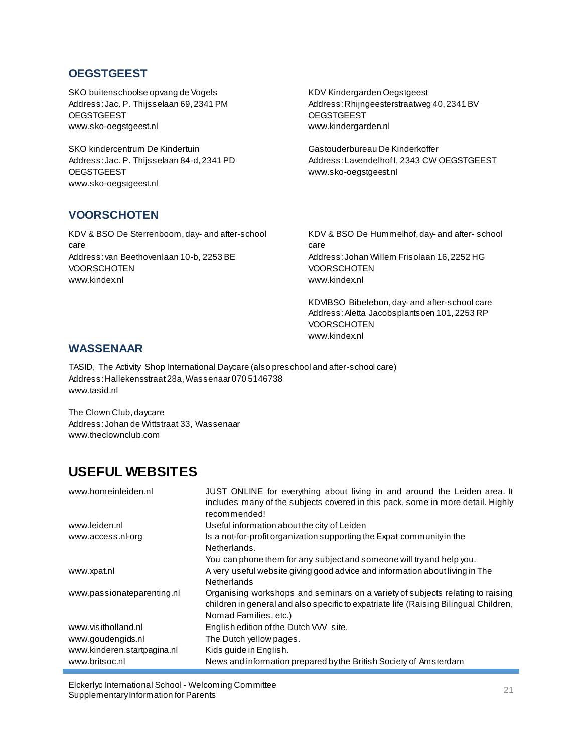## **OEGSTGEEST**

SKO buitenschoolse opvang de Vogels Address: Jac. P. Thijsselaan 69, 2341 PM **OEGSTGEEST** www.sko-oegstgeest.nl

SKO kindercentrum De Kindertuin Address: Jac. P. Thijsselaan 84-d, 2341 PD **OEGSTGEEST** www.sko-oegstgeest.nl

KDV Kindergarden Oegstgeest Address: Rhijngeesterstraatweg 40, 2341 BV **OEGSTGEEST** www.kindergarden.nl

Gastouderbureau De Kinderkoffer Address: Lavendelhof I, 2343 CW OEGSTGEEST www.sko-oegstgeest.nl

# **VOORSCHOTEN**

KDV & BSO De Sterrenboom, day- and after-school care Address: van Beethovenlaan 10-b, 2253 BE **VOORSCHOTEN** www.kindex.nl

KDV & BSO De Hummelhof, day- and after- school care Address: Johan Willem Frisolaan 16, 2252 HG **VOORSCHOTEN** www.kindex.nl

KDVIBSO Bibelebon, day- and after-school care Address: Aletta Jacobsplantsoen 101, 2253 RP **VOORSCHOTEN** www.kindex.nl

#### **WASSENAAR**

TASID, The Activity Shop International Daycare (also preschool and after-school care) Address: Hallekensstraat 28a, Wassenaar 070 5146738 [www.tasid.nl](http://www.tasid.nl/)

The Clown Club, daycare Address: Johan de Wittstraat 33, Wassenaar www.theclownclub.com

# **USEFUL WEBSITES**

| www.homeinleiden.nl         | JUST ONLINE for everything about living in and around the Leiden area. It<br>includes many of the subjects covered in this pack, some in more detail. Highly<br>recommended!                     |
|-----------------------------|--------------------------------------------------------------------------------------------------------------------------------------------------------------------------------------------------|
| www.leiden.nl               | Useful information about the city of Leiden                                                                                                                                                      |
| www.access.nl-org           | Is a not-for-profit organization supporting the Expat community in the<br>Netherlands.                                                                                                           |
|                             | You can phone them for any subject and someone will try and help you.                                                                                                                            |
| www.xpat.nl                 | A very useful website giving good advice and information about living in The<br><b>Netherlands</b>                                                                                               |
| www.passionateparenting.nl  | Organising workshops and seminars on a variety of subjects relating to raising<br>children in general and also specific to expatriate life (Raising Bilingual Children,<br>Nomad Families, etc.) |
| www.visitholland.nl         | English edition of the Dutch VVV site.                                                                                                                                                           |
| www.goudengids.nl           | The Dutch yellow pages.                                                                                                                                                                          |
| www.kinderen.startpagina.nl | Kids quide in English.                                                                                                                                                                           |
| www.britsoc.nl              | News and information prepared by the British Society of Amsterdam                                                                                                                                |

Elckerlyc International School - Welcoming Committee Eicherige international School - welcoming Committee<br>Supplementary Information for Parents 21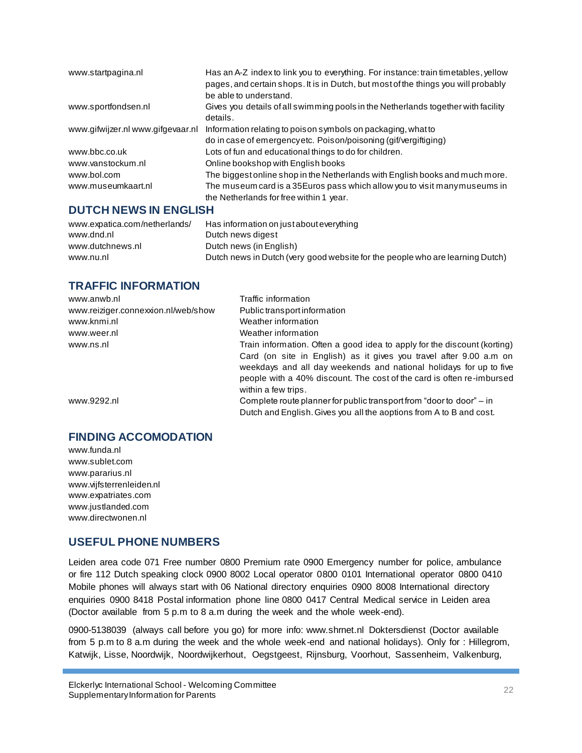| www.startpagina.nl                | Has an A-Z index to link you to everything. For instance: train timetables, yellow<br>pages, and certain shops. It is in Dutch, but most of the things you will probably<br>be able to understand. |
|-----------------------------------|----------------------------------------------------------------------------------------------------------------------------------------------------------------------------------------------------|
| www.sportfondsen.nl               | Gives you details of all swimming pools in the Netherlands together with facility<br>details.                                                                                                      |
| www.gifwijzer.nl www.gifgevaar.nl | Information relating to poison symbols on packaging, what to                                                                                                                                       |
|                                   | do in case of emergency etc. Poison/poisoning (gif/vergiftiging)                                                                                                                                   |
| www.bbc.co.uk                     | Lots of fun and educational things to do for children.                                                                                                                                             |
| www.vanstockum.nl                 | Online bookshop with English books                                                                                                                                                                 |
| www.bol.com                       | The biggestonline shop in the Netherlands with English books and much more.                                                                                                                        |
| www.museumkaart.nl                | The museum card is a 35Euros pass which allow you to visit manymuseums in                                                                                                                          |
|                                   | the Netherlands for free within 1 year.                                                                                                                                                            |

#### **DUTCH NEWS IN ENGLISH**

| www.expatica.com/netherlands/<br>www.dnd.nl | Has information on just about everything<br>Dutch news digest                 |
|---------------------------------------------|-------------------------------------------------------------------------------|
| www.dutchnews.nl                            | Dutch news (in English)                                                       |
| www.nu.nl                                   | Dutch news in Dutch (very good website for the people who are learning Dutch) |

#### **TRAFFIC INFORMATION**

| www.anwb.nl                         | Traffic information                                                      |
|-------------------------------------|--------------------------------------------------------------------------|
| www.reiziger.connexxion.nl/web/show | Public transport information                                             |
| www.knmi.nl                         | Weather information                                                      |
| www.weer.nl                         | Weather information                                                      |
| www.ns.nl                           | Train information. Often a good idea to apply for the discount (korting) |
|                                     | Card (on site in English) as it gives you travel after 9.00 a.m on       |
|                                     | weekdays and all day weekends and national holidays for up to five       |
|                                     | people with a 40% discount. The cost of the card is often re-imbursed    |
|                                     | within a few trips.                                                      |
| www.9292.nl                         | Complete route planner for public transport from "door to door" – in     |
|                                     | Dutch and English. Gives you all the aoptions from A to B and cost.      |

#### **FINDING ACCOMODATION**

www.funda.nl www.sublet.com [www.pararius.nl](http://www.pararius.nl/) www.vijfsterrenleiden.nl [www.expatriates.com](http://www.expatriates.com/) www.justlanded.com [www.directwonen.nl](http://www.directwonen.nl/)

## **USEFUL PHONE NUMBERS**

Leiden area code 071 Free number 0800 Premium rate 0900 Emergency number for police, ambulance or fire 112 Dutch speaking clock 0900 8002 Local operator 0800 0101 International operator 0800 0410 Mobile phones will always start with 06 National directory enquiries 0900 8008 International directory enquiries 0900 8418 Postal information phone line 0800 0417 Central Medical service in Leiden area (Doctor available from 5 p.m to 8 a.m during the week and the whole week-end).

0900-5138039 (always call before you go) for more info: www.shrnet.nl Doktersdienst (Doctor available from 5 p.m to 8 a.m during the week and the whole week-end and national holidays). Only for : Hillegrom, Katwijk, Lisse, Noordwijk, Noordwijkerhout, Oegstgeest, Rijnsburg, Voorhout, Sassenheim, Valkenburg,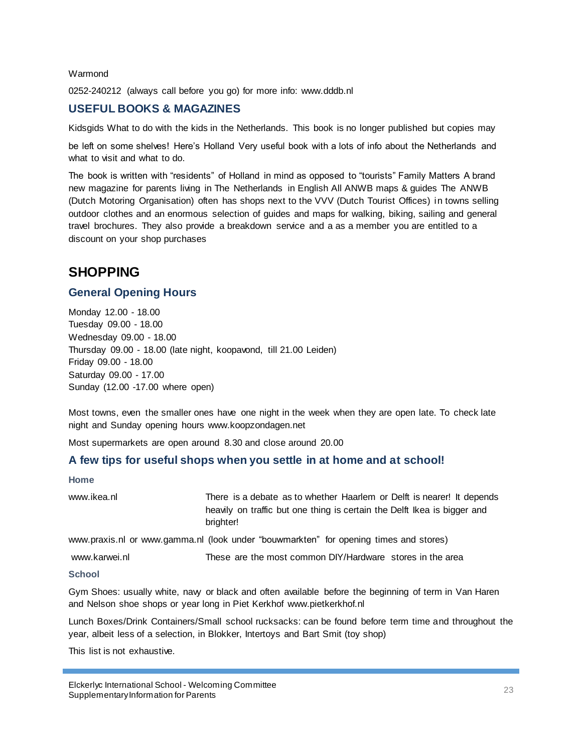#### Warmond

0252-240212 (always call before you go) for more info: www.dddb.nl

#### **USEFUL BOOKS & MAGAZINES**

Kidsgids What to do with the kids in the Netherlands. This book is no longer published but copies may

be left on some shelves! Here"s Holland Very useful book with a lots of info about the Netherlands and what to visit and what to do.

The book is written with "residents" of Holland in mind as opposed to "tourists" Family Matters A brand new magazine for parents living in The Netherlands in English All ANWB maps & guides The ANWB (Dutch Motoring Organisation) often has shops next to the VVV (Dutch Tourist Offices) in towns selling outdoor clothes and an enormous selection of guides and maps for walking, biking, sailing and general travel brochures. They also provide a breakdown service and a as a member you are entitled to a discount on your shop purchases

# **SHOPPING**

#### **General Opening Hours**

Monday 12.00 - 18.00 Tuesday 09.00 - 18.00 Wednesday 09.00 - 18.00 Thursday 09.00 - 18.00 (late night, koopavond, till 21.00 Leiden) Friday 09.00 - 18.00 Saturday 09.00 - 17.00 Sunday (12.00 -17.00 where open)

Most towns, even the smaller ones have one night in the week when they are open late. To check late night and Sunday opening hours www.koopzondagen.net

Most supermarkets are open around 8.30 and close around 20.00

#### **A few tips for useful shops when you settle in at home and at school!**

#### **Home**

[www.ikea.nl](http://www.ikea.nl/) **There** is a debate as to whether Haarlem or Delft is nearer! It depends heavily on traffic but one thing is certain the Delft Ikea is bigger and brighter!

www.praxis.nl or www.gamma.nl (look under "bouwmarkten" for opening times and stores)

[www.karwei.nl](http://www.karwei.nl/) These are the most common DIY/Hardware stores in the area

#### **School**

Gym Shoes: usually white, navy or black and often available before the beginning of term in Van Haren and Nelson shoe shops or year long in Piet Kerkhof www.pietkerkhof.nl

Lunch Boxes/Drink Containers/Small school rucksacks: can be found before term time and throughout the year, albeit less of a selection, in Blokker, Intertoys and Bart Smit (toy shop)

This list is not exhaustive.

Elckerlyc International School - Welcoming Committee Eicherige international School - welcoming Committee<br>Supplementary Information for Parents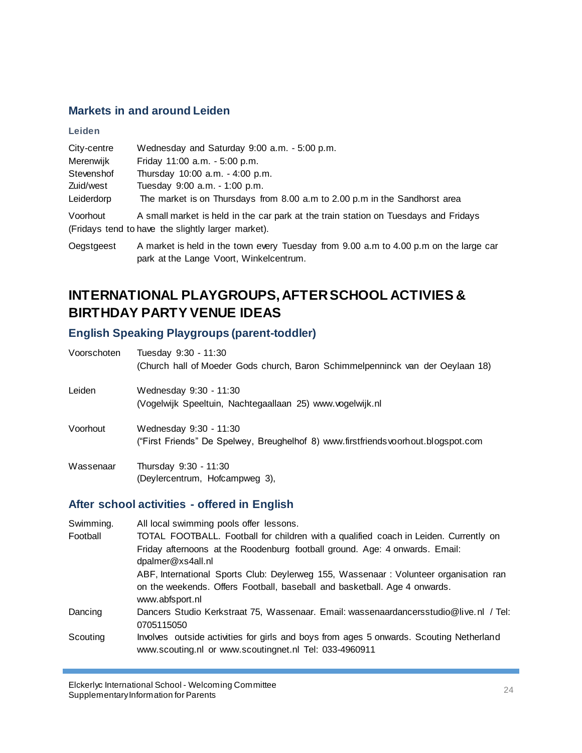## **Markets in and around Leiden**

| Leiden      |                                                                                     |
|-------------|-------------------------------------------------------------------------------------|
| City-centre | Wednesday and Saturday 9:00 a.m. - 5:00 p.m.                                        |
| Merenwijk   | Friday 11:00 a.m. - 5:00 p.m.                                                       |
| Stevenshof  | Thursday 10:00 a.m. - 4:00 p.m.                                                     |
| Zuid/west   | Tuesday 9:00 a.m. - 1:00 p.m.                                                       |
| Leiderdorp  | The market is on Thursdays from 8.00 a.m to 2.00 p.m in the Sandhorst area          |
| Voorhout    | A small market is held in the car park at the train station on Tuesdays and Fridays |
|             | (Fridays tend to have the slightly larger market).                                  |

Oegstgeest A market is held in the town every Tuesday from 9.00 a.m to 4.00 p.m on the large car park at the Lange Voort, Winkelcentrum.

# **INTERNATIONAL PLAYGROUPS, AFTER SCHOOL ACTIVIES & BIRTHDAY PARTY VENUE IDEAS**

## **English Speaking Playgroups (parent-toddler)**

| Voorschoten | Tuesday 9:30 - 11:30<br>(Church hall of Moeder Gods church, Baron Schimmelpenninck van der Oeylaan 18)       |
|-------------|--------------------------------------------------------------------------------------------------------------|
| Leiden      | Wednesday 9:30 - 11:30<br>(Vogelwijk Speeltuin, Nachtegaallaan 25) www.vogelwijk.nl                          |
| Voorhout    | Wednesday 9:30 - 11:30<br>("First Friends" De Spelwey, Breughelhof 8) www.firstfriends voorhout.blogspot.com |
| Wassenaar   | Thursday 9:30 - 11:30<br>(Deylercentrum, Hofcampweg 3),                                                      |

## **After school activities - offered in English**

| Swimming. | All local swimming pools offer lessons.                                                                                                           |
|-----------|---------------------------------------------------------------------------------------------------------------------------------------------------|
| Football  | TOTAL FOOTBALL. Football for children with a qualified coach in Leiden. Currently on                                                              |
|           | Friday afternoons at the Roodenburg football ground. Age: 4 onwards. Email:<br>dpalmer@xs4all.nl                                                  |
|           | ABF, International Sports Club: Deylerweg 155, Wassenaar: Volunteer organisation ran                                                              |
|           | on the weekends. Offers Football, baseball and basketball. Age 4 onwards.<br>www.abfsport.nl                                                      |
| Dancing   | Dancers Studio Kerkstraat 75, Wassenaar. Email: wassenaardancersstudio@live.nl / Tel:<br>0705115050                                               |
| Scouting  | Involves outside activities for girls and boys from ages 5 onwards. Scouting Netherland<br>www.scouting.nl or www.scoutingnet.nl Tel: 033-4960911 |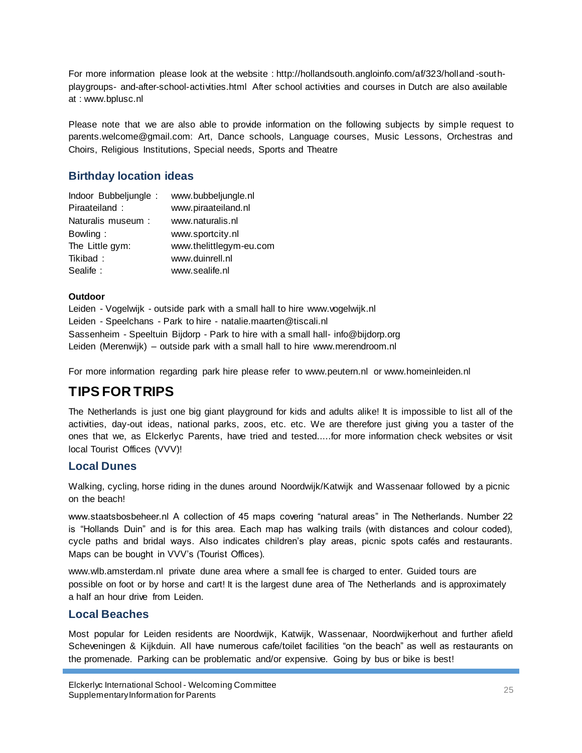For more information please look at the website : http://hollandsouth.angloinfo.com/af/323/holland -southplaygroups- and-after-school-activities.html After school activities and courses in Dutch are also available at [: www.bplusc.nl](http://www.bplusc.nl/)

Please note that we are also able to provide information on the following subjects by simple request to parents.welcome@gmail.com: Art, Dance schools, Language courses, Music Lessons, Orchestras and Choirs, Religious Institutions, Special needs, Sports and Theatre

## **Birthday location ideas**

| Indoor Bubbeljungle: | www.bubbeljungle.nl     |
|----------------------|-------------------------|
| Piraateiland:        | www.piraateiland.nl     |
| Naturalis museum :   | www.naturalis.nl        |
| Bowling:             | www.sportcity.nl        |
| The Little gym:      | www.thelittlegym-eu.com |
| Tikibad:             | www.duinrell.nl         |
| Sealife:             | www.sealife.nl          |

#### **Outdoor**

Leiden - Vogelwijk - outside park with a small hall to hire [www.vogelwijk.nl](http://www.vogelwijk.nl/) Leiden - Speelchans - Park to hire - [natalie.maarten@tiscali.nl](mailto:natalie.maarten@tiscali.nl) Sassenheim - Speeltuin Bijdorp - Park to hire with a small hall- [info@bijdorp.org](mailto:info@bijdorp.org) Leiden (Merenwijk) – outside park with a small hall to hire [www.merendroom.nl](http://www.merendroom.nl/)

For more information regarding park hire please refer to www.peutern.nl or www.homeinleiden.nl

# **TIPS FOR TRIPS**

The Netherlands is just one big giant playground for kids and adults alike! It is impossible to list all of the activities, day-out ideas, national parks, zoos, etc. etc. We are therefore just giving you a taster of the ones that we, as Elckerlyc Parents, have tried and tested.....for more information check websites or visit local Tourist Offices (VVV)!

## **Local Dunes**

Walking, cycling, horse riding in the dunes around Noordwijk/Katwijk and Wassenaar followed by a picnic on the beach!

www.staatsbosbeheer.nl A collection of 45 maps covering "natural areas" in The Netherlands. Number 22 is "Hollands Duin" and is for this area. Each map has walking trails (with distances and colour coded), cycle paths and bridal ways. Also indicates children"s play areas, picnic spots cafés and restaurants. Maps can be bought in VVV"s (Tourist Offices).

www.wlb.amsterdam.nl private dune area where a small fee is charged to enter. Guided tours are possible on foot or by horse and cart! It is the largest dune area of The Netherlands and is approximately a half an hour drive from Leiden.

## **Local Beaches**

Most popular for Leiden residents are Noordwijk, Katwijk, Wassenaar, Noordwijkerhout and further afield Scheveningen & Kijkduin. All have numerous cafe/toilet facilities "on the beach" as well as restaurants on the promenade. Parking can be problematic and/or expensive. Going by bus or bike is best!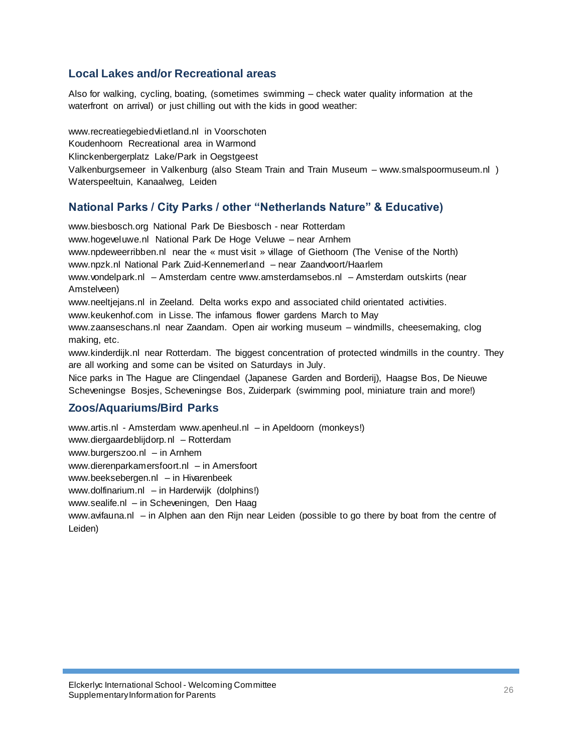#### **Local Lakes and/or Recreational areas**

Also for walking, cycling, boating, (sometimes swimming – check water quality information at the waterfront on arrival) or just chilling out with the kids in good weather:

www.recreatiegebiedvlietland.nl in Voorschoten Koudenhoorn Recreational area in Warmond Klinckenbergerplatz Lake/Park in Oegstgeest Valkenburgsemeer in Valkenburg (also Steam Train and Train Museum – www.smalspoormuseum.nl ) Waterspeeltuin, Kanaalweg, Leiden

#### **National Parks / City Parks / other "Netherlands Nature" & Educative)**

www.biesbosch.org National Park De Biesbosch - near Rotterdam www.hogeveluwe.nl National Park De Hoge Veluwe – near Arnhem www.npdeweerribben.nl near the « must visit » village of Giethoorn (The Venise of the North) www.npzk.nl National Park Zuid-Kennemerland – near Zaandvoort/Haarlem www.vondelpark.nl – Amsterdam centre www.amsterdamsebos.nl – Amsterdam outskirts (near Amstelveen) www.neeltjejans.nl in Zeeland. Delta works expo and associated child orientated activities. www.keukenhof.com in Lisse. The infamous flower gardens March to May www.zaanseschans.nl near Zaandam. Open air working museum – windmills, cheesemaking, clog making, etc. www.kinderdijk.nl near Rotterdam. The biggest concentration of protected windmills in the country. They are all working and some can be visited on Saturdays in July. Nice parks in The Hague are Clingendael (Japanese Garden and Borderij), Haagse Bos, De Nieuwe Scheveningse Bosjes, Scheveningse Bos, Zuiderpark (swimming pool, miniature train and more!)

# **Zoos/Aquariums/Bird Parks**

www.artis.nl - Amsterdam www.apenheul.nl – in Apeldoorn (monkeys!) www.diergaardeblijdorp.nl – Rotterdam www.burgerszoo.nl – in Arnhem www.dierenparkamersfoort.nl – in Amersfoort www.beeksebergen.nl – in Hivarenbeek www.dolfinarium.nl – in Harderwijk (dolphins!) www.sealife.nl – in Scheveningen, Den Haag www.avifauna.nl – in Alphen aan den Rijn near Leiden (possible to go there by boat from the centre of Leiden)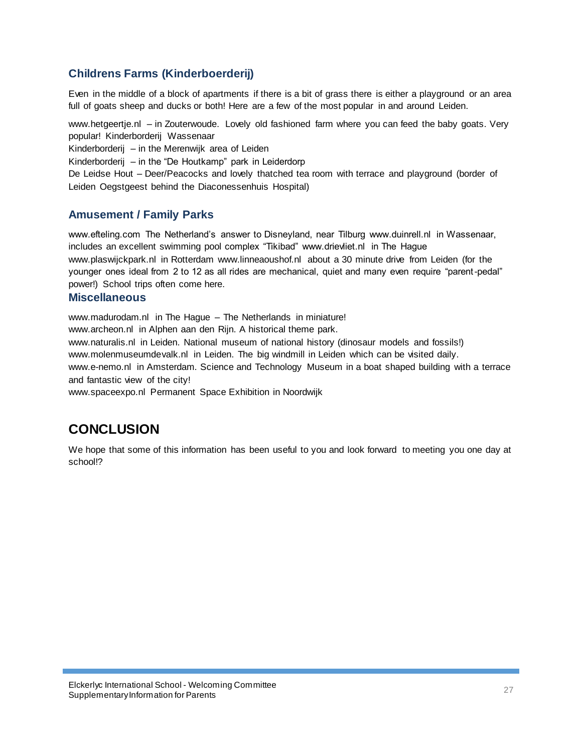## **Childrens Farms (Kinderboerderij)**

Even in the middle of a block of apartments if there is a bit of grass there is either a playground or an area full of goats sheep and ducks or both! Here are a few of the most popular in and around Leiden.

www.hetgeertje.nl – in Zouterwoude. Lovely old fashioned farm where you can feed the baby goats. Very popular! Kinderborderij Wassenaar

Kinderborderij – in the Merenwijk area of Leiden

Kinderborderij – in the "De Houtkamp" park in Leiderdorp

De Leidse Hout – Deer/Peacocks and lovely thatched tea room with terrace and playground (border of Leiden Oegstgeest behind the Diaconessenhuis Hospital)

## **Amusement / Family Parks**

www.efteling.com The Netherland"s answer to Disneyland, near Tilburg www.duinrell.nl in Wassenaar, includes an excellent swimming pool complex "Tikibad" www.drievliet.nl in The Hague www.plaswijckpark.nl in Rotterdam www.linneaoushof.nl about a 30 minute drive from Leiden (for the younger ones ideal from 2 to 12 as all rides are mechanical, quiet and many even require "parent-pedal" power!) School trips often come here.

#### **Miscellaneous**

www.madurodam.nl in The Hague – The Netherlands in miniature!

www.archeon.nl in Alphen aan den Rijn. A historical theme park.

www.naturalis.nl in Leiden. National museum of national history (dinosaur models and fossils!)

www.molenmuseumdevalk.nl in Leiden. The big windmill in Leiden which can be visited daily.

www.e-nemo.nl in Amsterdam. Science and Technology Museum in a boat shaped building with a terrace and fantastic view of the city!

www.spaceexpo.nl Permanent Space Exhibition in Noordwijk

# **CONCLUSION**

We hope that some of this information has been useful to you and look forward to meeting you one day at school!?